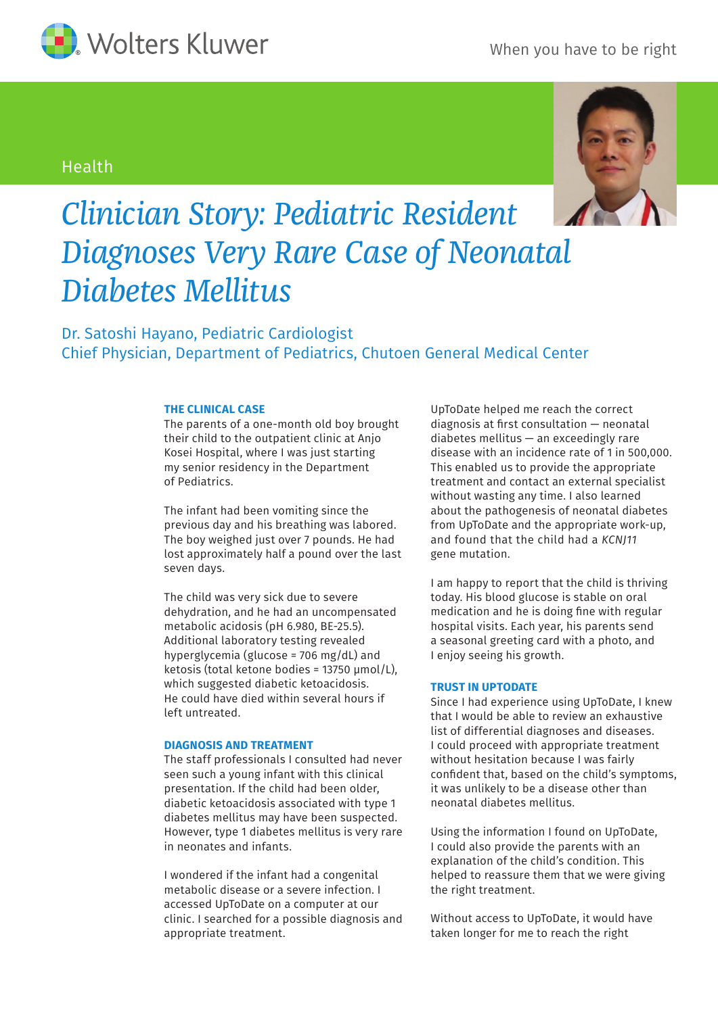

## Health



# *Clinician Story: Pediatric Resident Diagnoses Very Rare Case of Neonatal Diabetes Mellitus*

Dr. Satoshi Hayano, Pediatric Cardiologist Chief Physician, Department of Pediatrics, Chutoen General Medical Center

### **THE CLINICAL CASE**

The parents of a one-month old boy brought their child to the outpatient clinic at Anjo Kosei Hospital, where I was just starting my senior residency in the Department of Pediatrics.

The infant had been vomiting since the previous day and his breathing was labored. The boy weighed just over 7 pounds. He had lost approximately half a pound over the last seven days.

The child was very sick due to severe dehydration, and he had an uncompensated metabolic acidosis (pH 6.980, BE-25.5). Additional laboratory testing revealed hyperglycemia (glucose = 706 mg/dL) and ketosis (total ketone bodies = 13750 µmol/L), which suggested diabetic ketoacidosis. He could have died within several hours if left untreated.

### **DIAGNOSIS AND TREATMENT**

The staff professionals I consulted had never seen such a young infant with this clinical presentation. If the child had been older, diabetic ketoacidosis associated with type 1 diabetes mellitus may have been suspected. However, type 1 diabetes mellitus is very rare in neonates and infants.

I wondered if the infant had a congenital metabolic disease or a severe infection. I accessed UpToDate on a computer at our clinic. I searched for a possible diagnosis and appropriate treatment.

UpToDate helped me reach the correct diagnosis at first consultation — neonatal diabetes mellitus — an exceedingly rare disease with an incidence rate of 1 in 500,000. This enabled us to provide the appropriate treatment and contact an external specialist without wasting any time. I also learned about the pathogenesis of neonatal diabetes from UpToDate and the appropriate work-up, and found that the child had a *KCNJ11* gene mutation.

I am happy to report that the child is thriving today. His blood glucose is stable on oral medication and he is doing fine with regular hospital visits. Each year, his parents send a seasonal greeting card with a photo, and I enjoy seeing his growth.

### **TRUST IN UPTODATE**

Since I had experience using UpToDate, I knew that I would be able to review an exhaustive list of differential diagnoses and diseases. I could proceed with appropriate treatment without hesitation because I was fairly confident that, based on the child's symptoms, it was unlikely to be a disease other than neonatal diabetes mellitus.

Using the information I found on UpToDate, I could also provide the parents with an explanation of the child's condition. This helped to reassure them that we were giving the right treatment.

Without access to UpToDate, it would have taken longer for me to reach the right